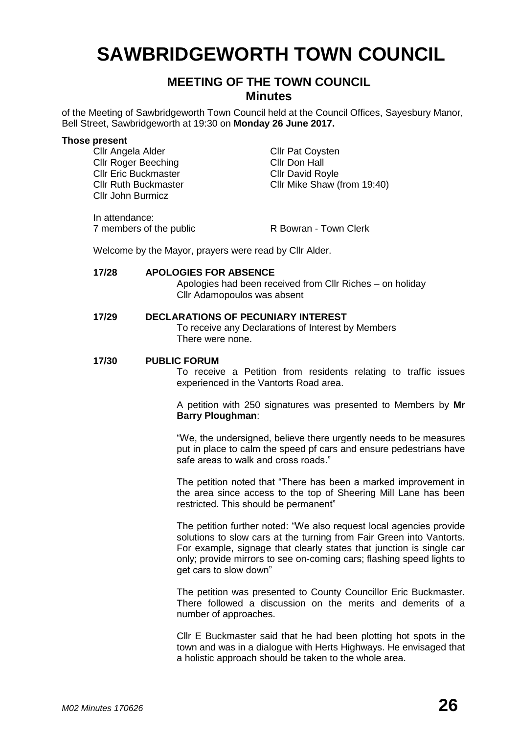# **SAWBRIDGEWORTH TOWN COUNCIL**

## **MEETING OF THE TOWN COUNCIL Minutes**

of the Meeting of Sawbridgeworth Town Council held at the Council Offices, Sayesbury Manor, Bell Street, Sawbridgeworth at 19:30 on **Monday 26 June 2017.**

#### **Those present**

Cllr Angela Alder Cllr Pat Coysten<br>Cllr Roger Beeching Cllr Don Hall Cllr Roger Beeching Cllr Eric Buckmaster Cllr David Royle Cllr John Burmicz

Cllr Ruth Buckmaster Cllr Mike Shaw (from 19:40)

In attendance: 7 members of the public R Bowran - Town Clerk

Welcome by the Mayor, prayers were read by Cllr Alder.

#### **17/28 APOLOGIES FOR ABSENCE**

Apologies had been received from Cllr Riches – on holiday Cllr Adamopoulos was absent

#### **17/29 DECLARATIONS OF PECUNIARY INTEREST**

To receive any Declarations of Interest by Members There were none.

#### **17/30 PUBLIC FORUM**

To receive a Petition from residents relating to traffic issues experienced in the Vantorts Road area.

A petition with 250 signatures was presented to Members by **Mr Barry Ploughman**:

"We, the undersigned, believe there urgently needs to be measures put in place to calm the speed pf cars and ensure pedestrians have safe areas to walk and cross roads."

The petition noted that "There has been a marked improvement in the area since access to the top of Sheering Mill Lane has been restricted. This should be permanent"

The petition further noted: "We also request local agencies provide solutions to slow cars at the turning from Fair Green into Vantorts. For example, signage that clearly states that junction is single car only; provide mirrors to see on-coming cars; flashing speed lights to get cars to slow down"

The petition was presented to County Councillor Eric Buckmaster. There followed a discussion on the merits and demerits of a number of approaches.

Cllr E Buckmaster said that he had been plotting hot spots in the town and was in a dialogue with Herts Highways. He envisaged that a holistic approach should be taken to the whole area.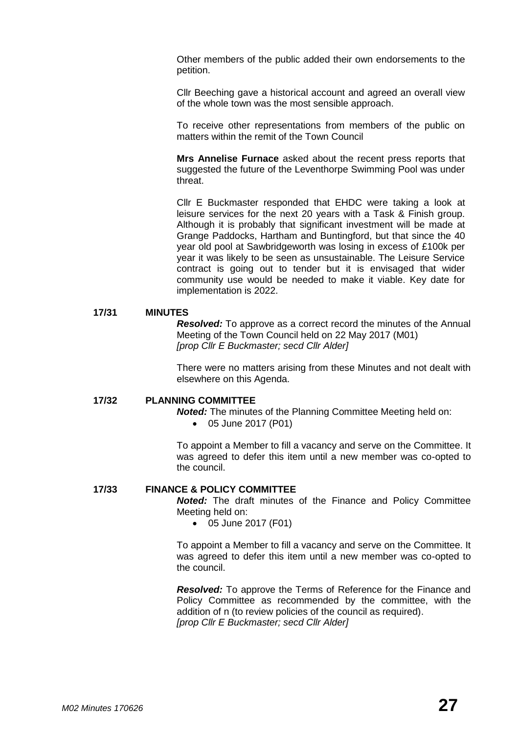Other members of the public added their own endorsements to the petition.

Cllr Beeching gave a historical account and agreed an overall view of the whole town was the most sensible approach.

To receive other representations from members of the public on matters within the remit of the Town Council

**Mrs Annelise Furnace** asked about the recent press reports that suggested the future of the Leventhorpe Swimming Pool was under threat.

Cllr E Buckmaster responded that EHDC were taking a look at leisure services for the next 20 years with a Task & Finish group. Although it is probably that significant investment will be made at Grange Paddocks, Hartham and Buntingford, but that since the 40 year old pool at Sawbridgeworth was losing in excess of £100k per year it was likely to be seen as unsustainable. The Leisure Service contract is going out to tender but it is envisaged that wider community use would be needed to make it viable. Key date for implementation is 2022.

#### **17/31 MINUTES**

*Resolved:* To approve as a correct record the minutes of the Annual Meeting of the Town Council held on 22 May 2017 (M01) *[prop Cllr E Buckmaster; secd Cllr Alder]*

There were no matters arising from these Minutes and not dealt with elsewhere on this Agenda.

#### **17/32 PLANNING COMMITTEE**

*Noted:* The minutes of the Planning Committee Meeting held on:

05 June 2017 (P01)

To appoint a Member to fill a vacancy and serve on the Committee. It was agreed to defer this item until a new member was co-opted to the council.

#### **17/33 FINANCE & POLICY COMMITTEE**

*Noted:* The draft minutes of the Finance and Policy Committee Meeting held on:

05 June 2017 (F01)

To appoint a Member to fill a vacancy and serve on the Committee. It was agreed to defer this item until a new member was co-opted to the council.

*Resolved:* To approve the Terms of Reference for the Finance and Policy Committee as recommended by the committee, with the addition of n (to review policies of the council as required). *[prop Cllr E Buckmaster; secd Cllr Alder]*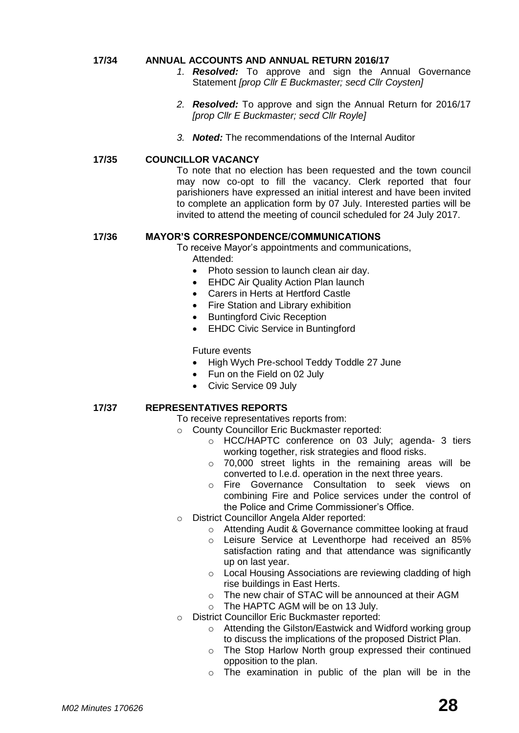#### **17/34 ANNUAL ACCOUNTS AND ANNUAL RETURN 2016/17**

- *1. Resolved:* To approve and sign the Annual Governance Statement *[prop Cllr E Buckmaster; secd Cllr Coysten]*
- *2. Resolved:* To approve and sign the Annual Return for 2016/17 *[prop Cllr E Buckmaster; secd Cllr Royle]*
- *3. Noted:* The recommendations of the Internal Auditor

#### **17/35 COUNCILLOR VACANCY**

To note that no election has been requested and the town council may now co-opt to fill the vacancy. Clerk reported that four parishioners have expressed an initial interest and have been invited to complete an application form by 07 July. Interested parties will be invited to attend the meeting of council scheduled for 24 July 2017.

#### **17/36 MAYOR'S CORRESPONDENCE/COMMUNICATIONS**

To receive Mayor's appointments and communications,

Attended:

- Photo session to launch clean air day.
- EHDC Air Quality Action Plan launch
- Carers in Herts at Hertford Castle
- Fire Station and Library exhibition
- Buntingford Civic Reception
- EHDC Civic Service in Buntingford

Future events

- High Wych Pre-school Teddy Toddle 27 June
- Fun on the Field on 02 July
- Civic Service 09 July

#### **17/37 REPRESENTATIVES REPORTS**

To receive representatives reports from:

- o County Councillor Eric Buckmaster reported:
	- o HCC/HAPTC conference on 03 July; agenda- 3 tiers working together, risk strategies and flood risks.
	- o 70,000 street lights in the remaining areas will be converted to l.e.d. operation in the next three years.
	- o Fire Governance Consultation to seek views on combining Fire and Police services under the control of the Police and Crime Commissioner's Office.
- o District Councillor Angela Alder reported:
	- o Attending Audit & Governance committee looking at fraud
	- o Leisure Service at Leventhorpe had received an 85% satisfaction rating and that attendance was significantly up on last year.
	- o Local Housing Associations are reviewing cladding of high rise buildings in East Herts.
	- o The new chair of STAC will be announced at their AGM
	- o The HAPTC AGM will be on 13 July.
- o District Councillor Eric Buckmaster reported:
	- o Attending the Gilston/Eastwick and Widford working group to discuss the implications of the proposed District Plan.
	- o The Stop Harlow North group expressed their continued opposition to the plan.
	- o The examination in public of the plan will be in the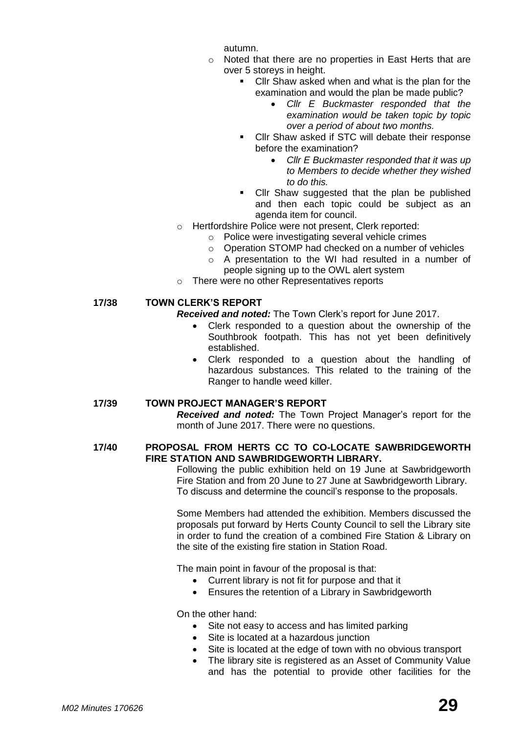autumn.

- o Noted that there are no properties in East Herts that are over 5 storeys in height.
	- Cllr Shaw asked when and what is the plan for the examination and would the plan be made public?
		- *Cllr E Buckmaster responded that the examination would be taken topic by topic over a period of about two months.*
	- Cllr Shaw asked if STC will debate their response before the examination?
		- *Cllr E Buckmaster responded that it was up to Members to decide whether they wished to do this.*
	- Cllr Shaw suggested that the plan be published and then each topic could be subject as an agenda item for council.
- o Hertfordshire Police were not present, Clerk reported:
	- o Police were investigating several vehicle crimes
	- o Operation STOMP had checked on a number of vehicles
	- o A presentation to the WI had resulted in a number of people signing up to the OWL alert system
- o There were no other Representatives reports

#### **17/38 TOWN CLERK'S REPORT**

*Received and noted:* The Town Clerk's report for June 2017.

- Clerk responded to a question about the ownership of the Southbrook footpath. This has not yet been definitively established.
- Clerk responded to a question about the handling of hazardous substances. This related to the training of the Ranger to handle weed killer.

#### **17/39 TOWN PROJECT MANAGER'S REPORT**

*Received and noted:* The Town Project Manager's report for the month of June 2017. There were no questions.

#### **17/40 PROPOSAL FROM HERTS CC TO CO-LOCATE SAWBRIDGEWORTH FIRE STATION AND SAWBRIDGEWORTH LIBRARY.**

Following the public exhibition held on 19 June at Sawbridgeworth Fire Station and from 20 June to 27 June at Sawbridgeworth Library. To discuss and determine the council's response to the proposals.

Some Members had attended the exhibition. Members discussed the proposals put forward by Herts County Council to sell the Library site in order to fund the creation of a combined Fire Station & Library on the site of the existing fire station in Station Road.

The main point in favour of the proposal is that:

- Current library is not fit for purpose and that it
- Ensures the retention of a Library in Sawbridgeworth

On the other hand:

- Site not easy to access and has limited parking
- Site is located at a hazardous junction
- Site is located at the edge of town with no obvious transport
- The library site is registered as an Asset of Community Value and has the potential to provide other facilities for the